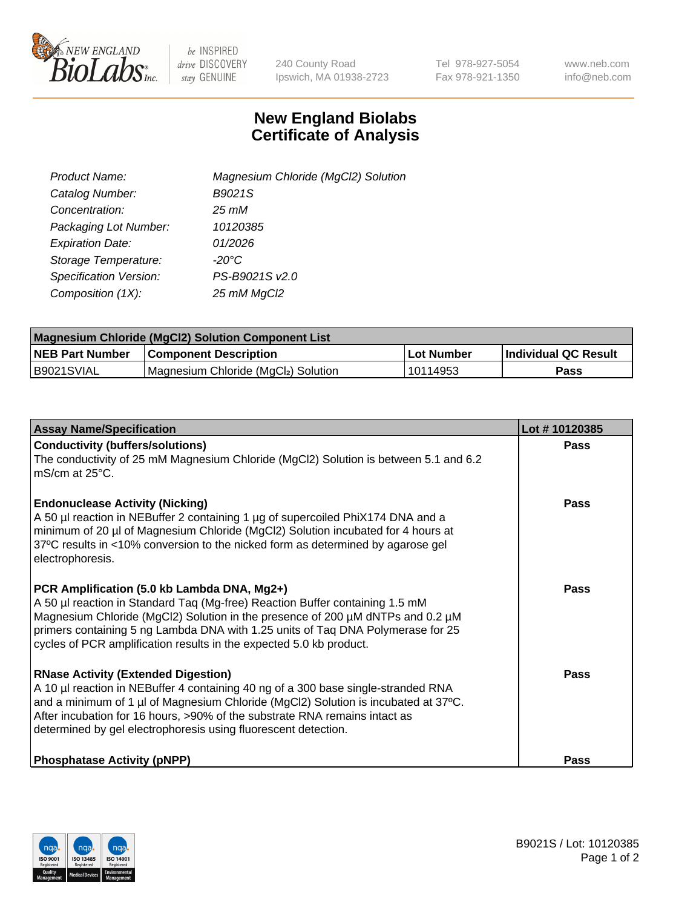

 $be$  INSPIRED drive DISCOVERY stay GENUINE

240 County Road Ipswich, MA 01938-2723 Tel 978-927-5054 Fax 978-921-1350 www.neb.com info@neb.com

## **New England Biolabs Certificate of Analysis**

| Product Name:           | Magnesium Chloride (MgCl2) Solution |
|-------------------------|-------------------------------------|
| Catalog Number:         | B9021S                              |
| Concentration:          | $25 \, \text{m}$ M                  |
| Packaging Lot Number:   | 10120385                            |
| <b>Expiration Date:</b> | 01/2026                             |
| Storage Temperature:    | $-20^{\circ}$ C                     |
| Specification Version:  | PS-B9021S v2.0                      |
| Composition (1X):       | 25 mM MgCl2                         |

| <b>Magnesium Chloride (MgCl2) Solution Component List</b> |                                     |             |                             |  |  |
|-----------------------------------------------------------|-------------------------------------|-------------|-----------------------------|--|--|
| <b>NEB Part Number</b>                                    | <b>Component Description</b>        | ∣Lot Number | <b>Individual QC Result</b> |  |  |
| IB9021SVIAL                                               | Magnesium Chloride (MgCl2) Solution | 10114953    | Pass                        |  |  |

| <b>Assay Name/Specification</b>                                                                                                                                                                                                                                                                                                                                         | Lot #10120385 |
|-------------------------------------------------------------------------------------------------------------------------------------------------------------------------------------------------------------------------------------------------------------------------------------------------------------------------------------------------------------------------|---------------|
| <b>Conductivity (buffers/solutions)</b><br>The conductivity of 25 mM Magnesium Chloride (MgCl2) Solution is between 5.1 and 6.2<br>mS/cm at 25°C.                                                                                                                                                                                                                       | <b>Pass</b>   |
| <b>Endonuclease Activity (Nicking)</b><br>A 50 µl reaction in NEBuffer 2 containing 1 µg of supercoiled PhiX174 DNA and a<br>minimum of 20 µl of Magnesium Chloride (MgCl2) Solution incubated for 4 hours at<br>37°C results in <10% conversion to the nicked form as determined by agarose gel<br>electrophoresis.                                                    | Pass          |
| PCR Amplification (5.0 kb Lambda DNA, Mg2+)<br>A 50 µl reaction in Standard Taq (Mg-free) Reaction Buffer containing 1.5 mM<br>Magnesium Chloride (MgCl2) Solution in the presence of 200 µM dNTPs and 0.2 µM<br>primers containing 5 ng Lambda DNA with 1.25 units of Taq DNA Polymerase for 25<br>cycles of PCR amplification results in the expected 5.0 kb product. | Pass          |
| <b>RNase Activity (Extended Digestion)</b><br>A 10 µl reaction in NEBuffer 4 containing 40 ng of a 300 base single-stranded RNA<br>and a minimum of 1 µl of Magnesium Chloride (MgCl2) Solution is incubated at 37°C.<br>After incubation for 16 hours, >90% of the substrate RNA remains intact as<br>determined by gel electrophoresis using fluorescent detection.   | Pass          |
| <b>Phosphatase Activity (pNPP)</b>                                                                                                                                                                                                                                                                                                                                      | Pass          |